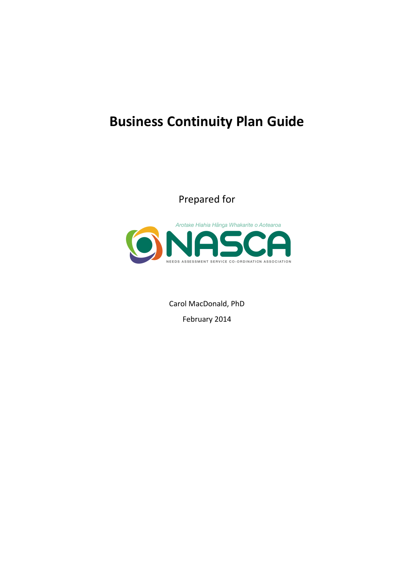# **Business Continuity Plan Guide**

Prepared for



Carol MacDonald, PhD February 2014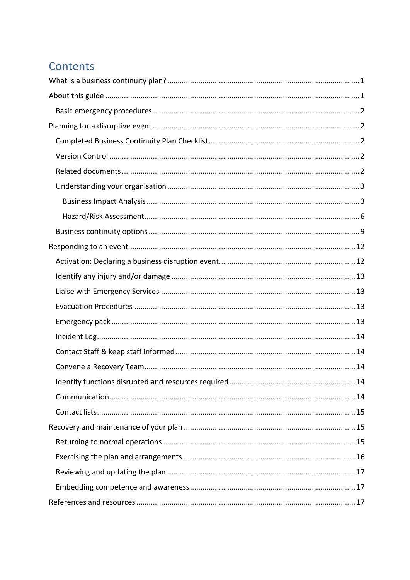# Contents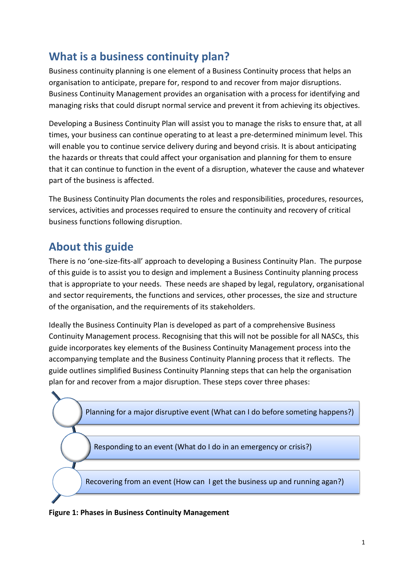# <span id="page-2-0"></span>**What is a business continuity plan?**

Business continuity planning is one element of a Business Continuity process that helps an organisation to anticipate, prepare for, respond to and recover from major disruptions. Business Continuity Management provides an organisation with a process for identifying and managing risks that could disrupt normal service and prevent it from achieving its objectives.

Developing a Business Continuity Plan will assist you to manage the risks to ensure that, at all times, your business can continue operating to at least a pre-determined minimum level. This will enable you to continue service delivery during and beyond crisis. It is about anticipating the hazards or threats that could affect your organisation and planning for them to ensure that it can continue to function in the event of a disruption, whatever the cause and whatever part of the business is affected.

The Business Continuity Plan documents the roles and responsibilities, procedures, resources, services, activities and processes required to ensure the continuity and recovery of critical business functions following disruption.

# <span id="page-2-1"></span>**About this guide**

There is no 'one-size-fits-all' approach to developing a Business Continuity Plan. The purpose of this guide is to assist you to design and implement a Business Continuity planning process that is appropriate to your needs. These needs are shaped by legal, regulatory, organisational and sector requirements, the functions and services, other processes, the size and structure of the organisation, and the requirements of its stakeholders.

Ideally the Business Continuity Plan is developed as part of a comprehensive Business Continuity Management process. Recognising that this will not be possible for all NASCs, this guide incorporates key elements of the Business Continuity Management process into the accompanying template and the Business Continuity Planning process that it reflects. The guide outlines simplified Business Continuity Planning steps that can help the organisation plan for and recover from a major disruption. These steps cover three phases:

Planning for a major disruptive event (What can I do before someting happens?)

Responding to an event (What do I do in an emergency or crisis?)

Recovering from an event (How can I get the business up and running agan?)

**Figure 1: Phases in Business Continuity Management**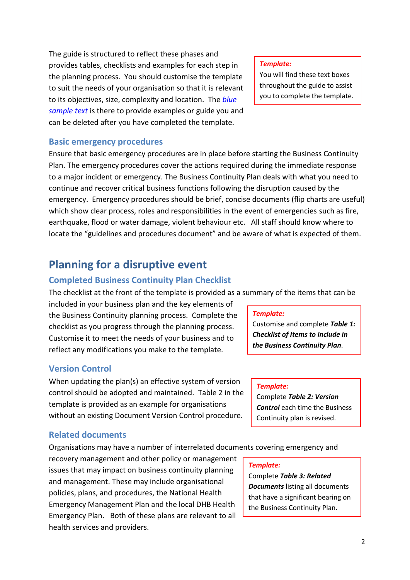The guide is structured to reflect these phases and provides tables, checklists and examples for each step in the planning process. You should customise the template to suit the needs of your organisation so that it is relevant to its objectives, size, complexity and location. The *blue sample text* is there to provide examples or guide you and can be deleted after you have completed the template.

#### *Template:*

You will find these text boxes throughout the guide to assist you to complete the template.

#### <span id="page-3-0"></span>**Basic emergency procedures**

Ensure that basic emergency procedures are in place before starting the Business Continuity Plan. The emergency procedures cover the actions required during the immediate response to a major incident or emergency. The Business Continuity Plan deals with what you need to continue and recover critical business functions following the disruption caused by the emergency. Emergency procedures should be brief, concise documents (flip charts are useful) which show clear process, roles and responsibilities in the event of emergencies such as fire, earthquake, flood or water damage, violent behaviour etc. All staff should know where to locate the "guidelines and procedures document" and be aware of what is expected of them.

## <span id="page-3-1"></span>**Planning for a disruptive event**

#### <span id="page-3-2"></span>**Completed Business Continuity Plan Checklist**

The checklist at the front of the template is provided as a summary of the items that can be

included in your business plan and the key elements of the Business Continuity planning process. Complete the checklist as you progress through the planning process. Customise it to meet the needs of your business and to reflect any modifications you make to the template.

### <span id="page-3-3"></span>**Version Control**

When updating the plan(s) an effective system of version control should be adopted and maintained. Table 2 in the template is provided as an example for organisations without an existing Document Version Control procedure.

#### <span id="page-3-4"></span>**Related documents**

Organisations may have a number of interrelated documents covering emergency and

recovery management and other policy or management issues that may impact on business continuity planning and management. These may include organisational policies, plans, and procedures, the National Health Emergency Management Plan and the local DHB Health Emergency Plan. Both of these plans are relevant to all health services and providers.

#### *Template:*

Customise and complete *Table 1: Checklist of Items to include in the Business Continuity Plan*.

#### *Template:*

Complete *Table 2: Version Control* each time the Business Continuity plan is revised.

#### *Template:*

Complete *Table 3: Related Documents* listing all documents that have a significant bearing on the Business Continuity Plan.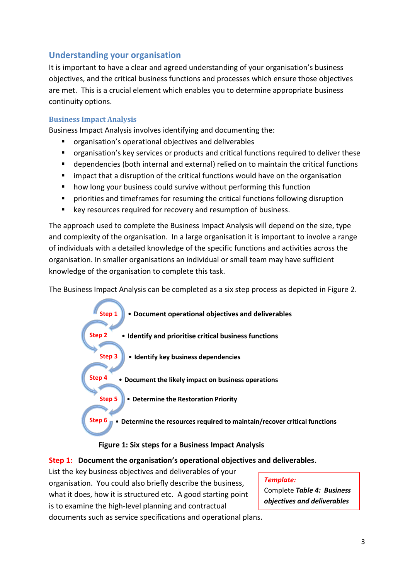## <span id="page-4-0"></span>**Understanding your organisation**

It is important to have a clear and agreed understanding of your organisation's business objectives, and the critical business functions and processes which ensure those objectives are met. This is a crucial element which enables you to determine appropriate business continuity options.

#### <span id="page-4-1"></span>**Business Impact Analysis**

Business Impact Analysis involves identifying and documenting the:

- organisation's operational objectives and deliverables
- organisation's key services or products and critical functions required to deliver these
- dependencies (both internal and external) relied on to maintain the critical functions
- impact that a disruption of the critical functions would have on the organisation
- **•** how long your business could survive without performing this function
- priorities and timeframes for resuming the critical functions following disruption
- **E** key resources required for recovery and resumption of business.

The approach used to complete the Business Impact Analysis will depend on the size, type and complexity of the organisation. In a large organisation it is important to involve a range of individuals with a detailed knowledge of the specific functions and activities across the organisation. In smaller organisations an individual or small team may have sufficient knowledge of the organisation to complete this task.

The Business Impact Analysis can be completed as a six step process as depicted in Figure 2.



#### **Figure 1: Six steps for a Business Impact Analysis**

#### **Step 1: Document the organisation's operational objectives and deliverables.**

List the key business objectives and deliverables of your organisation. You could also briefly describe the business, what it does, how it is structured etc. A good starting point is to examine the high-level planning and contractual

#### *Template:* Complete *Table 4: Business objectives and deliverables*

documents such as service specifications and operational plans.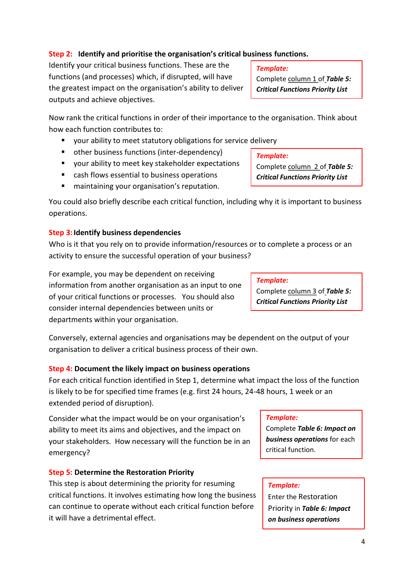#### **Step 2: Identify and prioritise the organisation's critical business functions.**

Identify your critical business functions. These are the functions (and processes) which, if disrupted, will have the greatest impact on the organisation's ability to deliver outputs and achieve objectives.

Now rank the critical functions in order of their importance to the organisation. Think about how each function contributes to:

- your ability to meet statutory obligations for service delivery
- other business functions (inter-dependency)
- your ability to meet key stakeholder expectations
- cash flows essential to business operations
- **E** maintaining your organisation's reputation.

You could also briefly describe each critical function, including why it is important to business operations.

## **Step 3: Identify business dependencies**

Who is it that you rely on to provide information/resources or to complete a process or an activity to ensure the successful operation of your business?

For example, you may be dependent on receiving information from another organisation as an input to one of your critical functions or processes. You should also consider internal dependencies between units or departments within your organisation.

Conversely, external agencies and organisations may be dependent on the output of your organisation to deliver a critical business process of their own.

## **Step 4: Document the likely impact on business operations**

For each critical function identified in Step 1, determine what impact the loss of the function is likely to be for specified time frames (e.g. first 24 hours, 24-48 hours, 1 week or an extended period of disruption).

Consider what the impact would be on your organisation's ability to meet its aims and objectives, and the impact on your stakeholders. How necessary will the function be in an emergency?

## **Step 5: Determine the Restoration Priority**

This step is about determining the priority for resuming critical functions. It involves estimating how long the business can continue to operate without each critical function before it will have a detrimental effect.

## *Template:*

Complete column 1 of *Table 5: Critical Functions Priority List*

Complete column 2 of *Table 5: Critical Functions Priority List*

*Template:* Complete column 3 of *Table 5: Critical Functions Priority List*

#### *Template:*

Complete *Table 6: Impact on business operations* for each critical function.

#### *Template:*

Enter the Restoration Priority in *Table 6: Impact on business operations*

#### *Template:*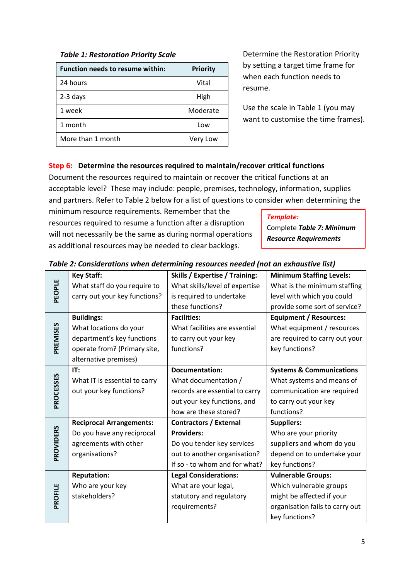| <b>Function needs to resume within:</b> | <b>Priority</b> |
|-----------------------------------------|-----------------|
| 24 hours                                | Vital           |
| $2-3$ days                              | High            |
| 1 week                                  | Moderate        |
| 1 month                                 | Low             |
| More than 1 month                       | Very Low        |

Determine the Restoration Priority by setting a target time frame for when each function needs to resume.

Use the scale in Table 1 (you may want to customise the time frames).

### **Step 6: Determine the resources required to maintain/recover critical functions**

Document the resources required to maintain or recover the critical functions at an acceptable level? These may include: people, premises, technology, information, supplies and partners. Refer to Table 2 below for a list of questions to consider when determining the

minimum resource requirements. Remember that the resources required to resume a function after a disruption will not necessarily be the same as during normal operations as additional resources may be needed to clear backlogs.

#### *Template:*

Complete *Table 7: Minimum Resource Requirements*

|           | <b>Key Staff:</b>               | <b>Skills / Expertise / Training:</b> | <b>Minimum Staffing Levels:</b>     |
|-----------|---------------------------------|---------------------------------------|-------------------------------------|
|           | What staff do you require to    | What skills/level of expertise        | What is the minimum staffing        |
| PEOPLE    | carry out your key functions?   | is required to undertake              | level with which you could          |
|           |                                 | these functions?                      | provide some sort of service?       |
|           | <b>Buildings:</b>               | <b>Facilities:</b>                    | <b>Equipment / Resources:</b>       |
|           | What locations do your          | What facilities are essential         | What equipment / resources          |
| PREMISES  | department's key functions      | to carry out your key                 | are required to carry out your      |
|           | operate from? (Primary site,    | functions?                            | key functions?                      |
|           | alternative premises)           |                                       |                                     |
|           | IT:                             | <b>Documentation:</b>                 | <b>Systems &amp; Communications</b> |
|           | What IT is essential to carry   | What documentation /                  | What systems and means of           |
| PROCESSES | out your key functions?         | records are essential to carry        | communication are required          |
|           |                                 | out your key functions, and           | to carry out your key               |
|           |                                 | how are these stored?                 | functions?                          |
|           | <b>Reciprocal Arrangements:</b> | <b>Contractors / External</b>         | <b>Suppliers:</b>                   |
| PROVIDERS | Do you have any reciprocal      | <b>Providers:</b>                     | Who are your priority               |
|           | agreements with other           | Do you tender key services            | suppliers and whom do you           |
|           | organisations?                  | out to another organisation?          | depend on to undertake your         |
|           |                                 | If so - to whom and for what?         | key functions?                      |
|           | <b>Reputation:</b>              | <b>Legal Considerations:</b>          | <b>Vulnerable Groups:</b>           |
|           | Who are your key                | What are your legal,                  | Which vulnerable groups             |
| PROFILE   | stakeholders?                   | statutory and regulatory              | might be affected if your           |
|           |                                 | requirements?                         | organisation fails to carry out     |
|           |                                 |                                       | key functions?                      |

#### *Table 2: Considerations when determining resources needed (not an exhaustive list)*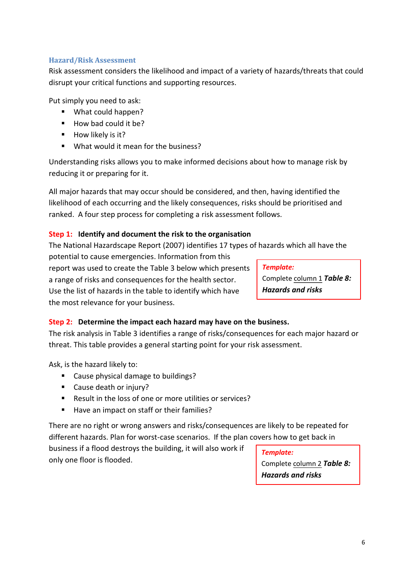#### <span id="page-7-0"></span>**Hazard/Risk Assessment**

Risk assessment considers the likelihood and impact of a variety of hazards/threats that could disrupt your critical functions and supporting resources.

Put simply you need to ask:

- What could happen?
- $\blacksquare$  How bad could it be?
- How likely is it?
- **What would it mean for the business?**

Understanding risks allows you to make informed decisions about how to manage risk by reducing it or preparing for it.

All major hazards that may occur should be considered, and then, having identified the likelihood of each occurring and the likely consequences, risks should be prioritised and ranked. A four step process for completing a risk assessment follows.

#### **Step 1: Identify and document the risk to the organisation**

The National Hazardscape Report (2007) identifies 17 types of hazards which all have the

potential to cause emergencies. Information from this report was used to create the Table 3 below which presents a range of risks and consequences for the health sector. Use the list of hazards in the table to identify which have the most relevance for your business.

#### *Template:*

Complete column 1 *Table 8: Hazards and risks*

#### **Step 2: Determine the impact each hazard may have on the business.**

The risk analysis in Table 3 identifies a range of risks/consequences for each major hazard or threat. This table provides a general starting point for your risk assessment.

Ask, is the hazard likely to:

- Cause physical damage to buildings?
- Cause death or injury?
- Result in the loss of one or more utilities or services?
- Have an impact on staff or their families?

There are no right or wrong answers and risks/consequences are likely to be repeated for different hazards. Plan for worst-case scenarios. If the plan covers how to get back in

business if a flood destroys the building, it will also work if only one floor is flooded.

#### *Template:*

Complete column 2 *Table 8: Hazards and risks*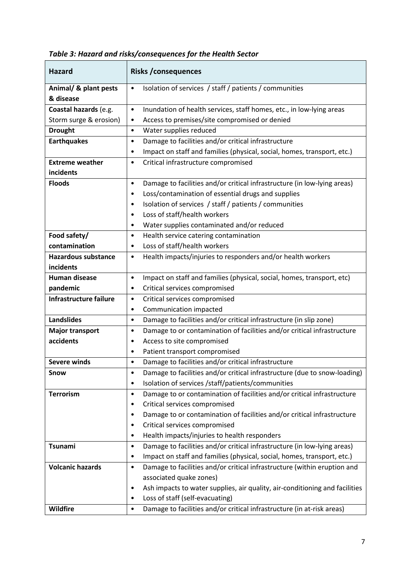| <b>Hazard</b>                 | <b>Risks /consequences</b>                                                               |  |
|-------------------------------|------------------------------------------------------------------------------------------|--|
| Animal/ & plant pests         | Isolation of services / staff / patients / communities<br>$\bullet$                      |  |
| & disease                     |                                                                                          |  |
| Coastal hazards (e.g.         | Inundation of health services, staff homes, etc., in low-lying areas<br>$\bullet$        |  |
| Storm surge & erosion)        | Access to premises/site compromised or denied<br>$\bullet$                               |  |
| <b>Drought</b>                | Water supplies reduced<br>$\bullet$                                                      |  |
| <b>Earthquakes</b>            | Damage to facilities and/or critical infrastructure<br>$\bullet$                         |  |
|                               | Impact on staff and families (physical, social, homes, transport, etc.)<br>٠             |  |
| <b>Extreme weather</b>        | Critical infrastructure compromised<br>$\bullet$                                         |  |
| incidents                     |                                                                                          |  |
| <b>Floods</b>                 | Damage to facilities and/or critical infrastructure (in low-lying areas)<br>$\bullet$    |  |
|                               | Loss/contamination of essential drugs and supplies<br>٠                                  |  |
|                               | Isolation of services / staff / patients / communities<br>٠                              |  |
|                               | Loss of staff/health workers<br>٠                                                        |  |
|                               | Water supplies contaminated and/or reduced<br>$\bullet$                                  |  |
| Food safety/                  | Health service catering contamination<br>$\bullet$                                       |  |
| contamination                 | Loss of staff/health workers<br>٠                                                        |  |
| <b>Hazardous substance</b>    | Health impacts/injuries to responders and/or health workers<br>$\bullet$                 |  |
| incidents                     |                                                                                          |  |
| <b>Human disease</b>          | Impact on staff and families (physical, social, homes, transport, etc)<br>$\bullet$      |  |
| pandemic                      | Critical services compromised<br>٠                                                       |  |
| <b>Infrastructure failure</b> | Critical services compromised<br>$\bullet$                                               |  |
|                               | Communication impacted<br>$\bullet$                                                      |  |
| <b>Landslides</b>             | Damage to facilities and/or critical infrastructure (in slip zone)<br>$\bullet$          |  |
| <b>Major transport</b>        | Damage to or contamination of facilities and/or critical infrastructure<br>$\bullet$     |  |
| accidents                     | Access to site compromised<br>٠                                                          |  |
|                               | Patient transport compromised<br>$\bullet$                                               |  |
| <b>Severe winds</b>           | Damage to facilities and/or critical infrastructure<br>$\bullet$                         |  |
| <b>Snow</b>                   | Damage to facilities and/or critical infrastructure (due to snow-loading)<br>٠           |  |
|                               | Isolation of services /staff/patients/communities<br>٠                                   |  |
| <b>Terrorism</b>              | Damage to or contamination of facilities and/or critical infrastructure<br>$\bullet$     |  |
|                               | Critical services compromised<br>٠                                                       |  |
|                               | Damage to or contamination of facilities and/or critical infrastructure<br>٠             |  |
|                               | Critical services compromised<br>٠                                                       |  |
|                               | Health impacts/injuries to health responders<br>٠                                        |  |
| Tsunami                       | Damage to facilities and/or critical infrastructure (in low-lying areas)<br>$\bullet$    |  |
|                               | Impact on staff and families (physical, social, homes, transport, etc.)<br>٠             |  |
| <b>Volcanic hazards</b>       | Damage to facilities and/or critical infrastructure (within eruption and<br>$\bullet$    |  |
|                               | associated quake zones)                                                                  |  |
|                               | Ash impacts to water supplies, air quality, air-conditioning and facilities<br>$\bullet$ |  |
|                               | Loss of staff (self-evacuating)<br>٠                                                     |  |
| Wildfire                      | Damage to facilities and/or critical infrastructure (in at-risk areas)<br>$\bullet$      |  |

*Table 3: Hazard and risks/consequences for the Health Sector*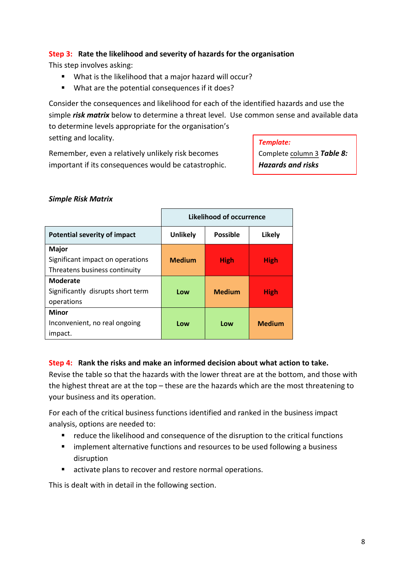#### **Step 3: Rate the likelihood and severity of hazards for the organisation**

This step involves asking:

- What is the likelihood that a major hazard will occur?
- What are the potential consequences if it does?

Consider the consequences and likelihood for each of the identified hazards and use the simple *risk matrix* below to determine a threat level. Use common sense and available data to determine levels appropriate for the organisation's setting and locality.

Remember, even a relatively unlikely risk becomes important if its consequences would be catastrophic. *Template:*

Complete column 3 *Table 8: Hazards and risks*

#### *Simple Risk Matrix*

|                                     | Likelihood of occurrence |                 |               |
|-------------------------------------|--------------------------|-----------------|---------------|
| <b>Potential severity of impact</b> | <b>Unlikely</b>          | <b>Possible</b> | Likely        |
| <b>Major</b>                        |                          |                 |               |
| Significant impact on operations    | <b>Medium</b>            | <b>High</b>     | <b>High</b>   |
| Threatens business continuity       |                          |                 |               |
| <b>Moderate</b>                     |                          |                 |               |
| Significantly disrupts short term   | Low                      | <b>Medium</b>   | <b>High</b>   |
| operations                          |                          |                 |               |
| <b>Minor</b>                        |                          |                 |               |
| Inconvenient, no real ongoing       | Low                      | Low             | <b>Medium</b> |
| impact.                             |                          |                 |               |

#### **Step 4: Rank the risks and make an informed decision about what action to take.**

Revise the table so that the hazards with the lower threat are at the bottom, and those with the highest threat are at the top – these are the hazards which are the most threatening to your business and its operation.

For each of the critical business functions identified and ranked in the business impact analysis, options are needed to:

- **•** reduce the likelihood and consequence of the disruption to the critical functions
- **EXTERN** implement alternative functions and resources to be used following a business disruption
- activate plans to recover and restore normal operations.

This is dealt with in detail in the following section.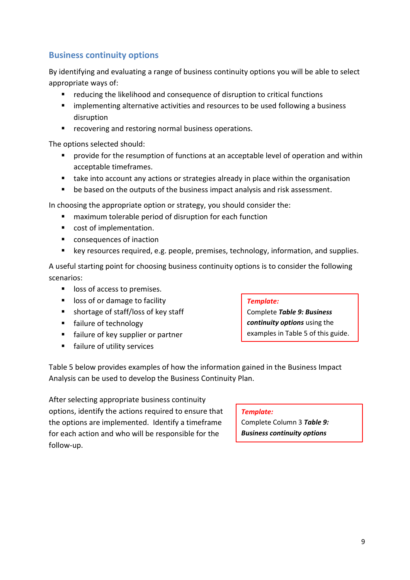## <span id="page-10-0"></span>**Business continuity options**

By identifying and evaluating a range of business continuity options you will be able to select appropriate ways of:

- reducing the likelihood and consequence of disruption to critical functions
- **EX Implementing alternative activities and resources to be used following a business** disruption
- **•** recovering and restoring normal business operations.

The options selected should:

- provide for the resumption of functions at an acceptable level of operation and within acceptable timeframes.
- take into account any actions or strategies already in place within the organisation
- **•** be based on the outputs of the business impact analysis and risk assessment.

In choosing the appropriate option or strategy, you should consider the:

- maximum tolerable period of disruption for each function
- cost of implementation.
- consequences of inaction
- key resources required, e.g. people, premises, technology, information, and supplies.

A useful starting point for choosing business continuity options is to consider the following scenarios:

- **If** loss of access to premises.
- **IDOSS** of or damage to facility
- shortage of staff/loss of key staff
- **failure of technology**
- **Failure of key supplier or partner**
- **Failure of utility services**

#### *Template:*

Complete *Table 9: Business continuity options* using the examples in Table 5 of this guide.

Table 5 below provides examples of how the information gained in the Business Impact Analysis can be used to develop the Business Continuity Plan.

After selecting appropriate business continuity options, identify the actions required to ensure that the options are implemented. Identify a timeframe for each action and who will be responsible for the follow-up.

#### *Template:*

Complete Column 3 *Table 9: Business continuity options*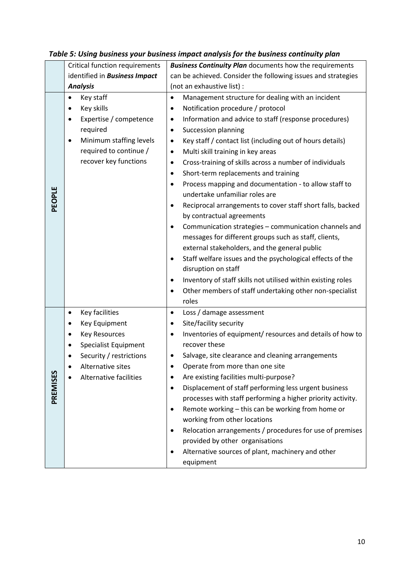|          | <b>Critical function requirements</b> | <b>Business Continuity Plan</b> documents how the requirements                |  |
|----------|---------------------------------------|-------------------------------------------------------------------------------|--|
|          | identified in <b>Business Impact</b>  | can be achieved. Consider the following issues and strategies                 |  |
|          | <b>Analysis</b>                       | (not an exhaustive list) :                                                    |  |
|          | Key staff<br>٠                        | Management structure for dealing with an incident<br>$\bullet$                |  |
|          | Key skills<br>٠                       | Notification procedure / protocol<br>$\bullet$                                |  |
|          | Expertise / competence<br>$\bullet$   | Information and advice to staff (response procedures)<br>$\bullet$            |  |
|          | required                              | <b>Succession planning</b><br>$\bullet$                                       |  |
|          | Minimum staffing levels<br>٠          | Key staff / contact list (including out of hours details)<br>$\bullet$        |  |
|          | required to continue /                | Multi skill training in key areas<br>$\bullet$                                |  |
|          | recover key functions                 | Cross-training of skills across a number of individuals<br>$\bullet$          |  |
|          |                                       | Short-term replacements and training<br>$\bullet$                             |  |
|          |                                       | Process mapping and documentation - to allow staff to<br>$\bullet$            |  |
| PEOPLE   |                                       | undertake unfamiliar roles are                                                |  |
|          |                                       | Reciprocal arrangements to cover staff short falls, backed<br>$\bullet$       |  |
|          |                                       | by contractual agreements                                                     |  |
|          |                                       | Communication strategies - communication channels and<br>$\bullet$            |  |
|          |                                       | messages for different groups such as staff, clients,                         |  |
|          |                                       | external stakeholders, and the general public                                 |  |
|          |                                       | Staff welfare issues and the psychological effects of the<br>$\bullet$        |  |
|          |                                       | disruption on staff                                                           |  |
|          |                                       | Inventory of staff skills not utilised within existing roles<br>٠             |  |
|          |                                       | Other members of staff undertaking other non-specialist<br>$\bullet$<br>roles |  |
|          | Key facilities<br>$\bullet$           | Loss / damage assessment<br>$\bullet$                                         |  |
|          | Key Equipment<br>٠                    | Site/facility security<br>٠                                                   |  |
|          | <b>Key Resources</b><br>٠             | Inventories of equipment/ resources and details of how to<br>$\bullet$        |  |
|          | <b>Specialist Equipment</b>           | recover these                                                                 |  |
|          | Security / restrictions               | Salvage, site clearance and cleaning arrangements                             |  |
|          | Alternative sites                     | Operate from more than one site                                               |  |
|          | Alternative facilities                | Are existing facilities multi-purpose?<br>٠                                   |  |
|          |                                       | Displacement of staff performing less urgent business<br>$\bullet$            |  |
| PREMISES |                                       | processes with staff performing a higher priority activity.                   |  |
|          |                                       | Remote working - this can be working from home or<br>$\bullet$                |  |
|          |                                       | working from other locations                                                  |  |
|          |                                       | Relocation arrangements / procedures for use of premises                      |  |
|          |                                       | provided by other organisations                                               |  |
|          |                                       | Alternative sources of plant, machinery and other                             |  |
|          |                                       | equipment                                                                     |  |

## *Table 5: Using business your business impact analysis for the business continuity plan*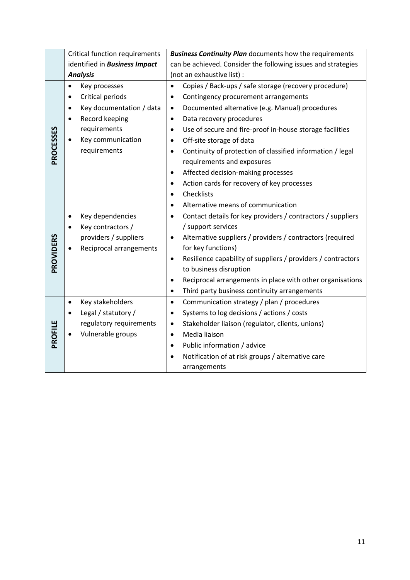|           | <b>Critical function requirements</b> | <b>Business Continuity Plan</b> documents how the requirements            |  |
|-----------|---------------------------------------|---------------------------------------------------------------------------|--|
|           | identified in <b>Business Impact</b>  | can be achieved. Consider the following issues and strategies             |  |
|           | <b>Analysis</b>                       | (not an exhaustive list) :                                                |  |
|           | Key processes<br>٠                    | Copies / Back-ups / safe storage (recovery procedure)<br>$\bullet$        |  |
|           | Critical periods<br>$\bullet$         | Contingency procurement arrangements<br>$\bullet$                         |  |
|           | Key documentation / data<br>$\bullet$ | Documented alternative (e.g. Manual) procedures<br>$\bullet$              |  |
|           | Record keeping<br>$\bullet$           | Data recovery procedures<br>$\bullet$                                     |  |
|           | requirements                          | Use of secure and fire-proof in-house storage facilities<br>$\bullet$     |  |
|           | Key communication                     | Off-site storage of data<br>$\bullet$                                     |  |
| PROCESSES | requirements                          | Continuity of protection of classified information / legal<br>$\bullet$   |  |
|           |                                       | requirements and exposures                                                |  |
|           |                                       | Affected decision-making processes<br>$\bullet$                           |  |
|           |                                       | Action cards for recovery of key processes<br>$\bullet$                   |  |
|           |                                       | Checklists<br>$\bullet$                                                   |  |
|           |                                       | Alternative means of communication<br>$\bullet$                           |  |
|           | Key dependencies<br>$\bullet$         | Contact details for key providers / contractors / suppliers<br>$\bullet$  |  |
|           | Key contractors /                     | / support services                                                        |  |
|           | providers / suppliers                 | Alternative suppliers / providers / contractors (required<br>$\bullet$    |  |
|           | Reciprocal arrangements               | for key functions)                                                        |  |
| PROVIDERS |                                       | Resilience capability of suppliers / providers / contractors<br>$\bullet$ |  |
|           |                                       | to business disruption                                                    |  |
|           |                                       | Reciprocal arrangements in place with other organisations<br>$\bullet$    |  |
|           |                                       | Third party business continuity arrangements<br>$\bullet$                 |  |
|           | Key stakeholders<br>$\bullet$         | Communication strategy / plan / procedures<br>$\bullet$                   |  |
|           | Legal / statutory /                   | Systems to log decisions / actions / costs<br>$\bullet$                   |  |
|           | regulatory requirements               | Stakeholder liaison (regulator, clients, unions)<br>$\bullet$             |  |
| PROFILE   | Vulnerable groups                     | Media liaison<br>$\bullet$                                                |  |
|           |                                       | Public information / advice<br>$\bullet$                                  |  |
|           |                                       | Notification of at risk groups / alternative care                         |  |
|           |                                       | arrangements                                                              |  |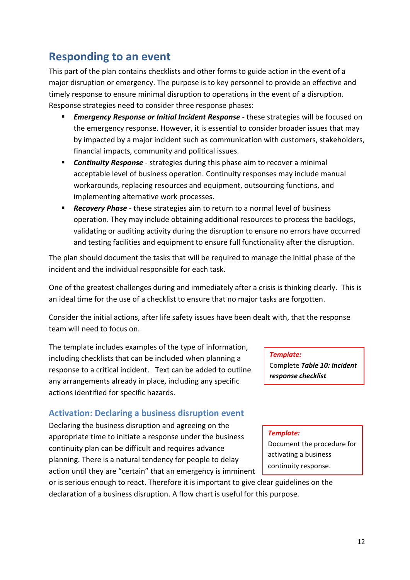# <span id="page-13-0"></span>**Responding to an event**

This part of the plan contains checklists and other forms to guide action in the event of a major disruption or emergency. The purpose is to key personnel to provide an effective and timely response to ensure minimal disruption to operations in the event of a disruption. Response strategies need to consider three response phases:

- *Emergency Response or Initial Incident Response* these strategies will be focused on the emergency response. However, it is essential to consider broader issues that may by impacted by a major incident such as communication with customers, stakeholders, financial impacts, community and political issues.
- *Continuity Response* strategies during this phase aim to recover a minimal acceptable level of business operation. Continuity responses may include manual workarounds, replacing resources and equipment, outsourcing functions, and implementing alternative work processes.
- *Recovery Phase* these strategies aim to return to a normal level of business operation. They may include obtaining additional resources to process the backlogs, validating or auditing activity during the disruption to ensure no errors have occurred and testing facilities and equipment to ensure full functionality after the disruption.

The plan should document the tasks that will be required to manage the initial phase of the incident and the individual responsible for each task.

One of the greatest challenges during and immediately after a crisis is thinking clearly. This is an ideal time for the use of a checklist to ensure that no major tasks are forgotten.

Consider the initial actions, after life safety issues have been dealt with, that the response team will need to focus on.

The template includes examples of the type of information, including checklists that can be included when planning a response to a critical incident. Text can be added to outline any arrangements already in place, including any specific actions identified for specific hazards.

### <span id="page-13-1"></span>**Activation: Declaring a business disruption event**

Declaring the business disruption and agreeing on the appropriate time to initiate a response under the business continuity plan can be difficult and requires advance planning. There is a natural tendency for people to delay action until they are "certain" that an emergency is imminent

#### *Template:*

Complete *Table 10: Incident response checklist*

#### *Template:*

Document the procedure for activating a business continuity response.

or is serious enough to react. Therefore it is important to give clear guidelines on the declaration of a business disruption. A flow chart is useful for this purpose.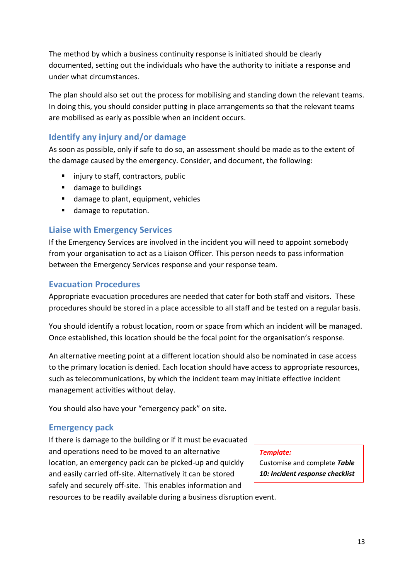The method by which a business continuity response is initiated should be clearly documented, setting out the individuals who have the authority to initiate a response and under what circumstances.

The plan should also set out the process for mobilising and standing down the relevant teams. In doing this, you should consider putting in place arrangements so that the relevant teams are mobilised as early as possible when an incident occurs.

## <span id="page-14-0"></span>**Identify any injury and/or damage**

As soon as possible, only if safe to do so, an assessment should be made as to the extent of the damage caused by the emergency. Consider, and document, the following:

- **injury to staff, contractors, public**
- damage to buildings
- damage to plant, equipment, vehicles
- damage to reputation.

### <span id="page-14-1"></span>**Liaise with Emergency Services**

If the Emergency Services are involved in the incident you will need to appoint somebody from your organisation to act as a Liaison Officer. This person needs to pass information between the Emergency Services response and your response team.

### <span id="page-14-2"></span>**Evacuation Procedures**

Appropriate evacuation procedures are needed that cater for both staff and visitors. These procedures should be stored in a place accessible to all staff and be tested on a regular basis.

You should identify a robust location, room or space from which an incident will be managed. Once established, this location should be the focal point for the organisation's response.

An alternative meeting point at a different location should also be nominated in case access to the primary location is denied. Each location should have access to appropriate resources, such as telecommunications, by which the incident team may initiate effective incident management activities without delay.

You should also have your "emergency pack" on site.

### <span id="page-14-3"></span>**Emergency pack**

If there is damage to the building or if it must be evacuated and operations need to be moved to an alternative location, an emergency pack can be picked-up and quickly and easily carried off-site. Alternatively it can be stored safely and securely off-site. This enables information and resources to be readily available during a business disruption event.

*Template:*

Customise and complete *Table 10: Incident response checklist*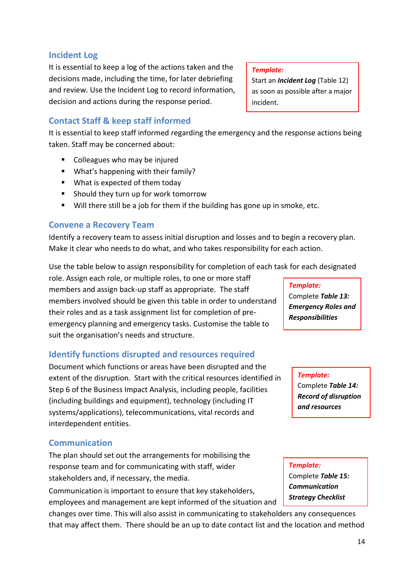### <span id="page-15-0"></span>**Incident Log**

It is essential to keep a log of the actions taken and the decisions made, including the time, for later debriefing and review. Use the Incident Log to record information, decision and actions during the response period.

## <span id="page-15-1"></span>**Contact Staff & keep staff informed**

It is essential to keep staff informed regarding the emergency and the response actions being taken. Staff may be concerned about:

- Colleagues who may be injured
- What's happening with their family?
- What is expected of them today
- Should they turn up for work tomorrow
- Will there still be a job for them if the building has gone up in smoke, etc.

## <span id="page-15-2"></span>**Convene a Recovery Team**

Identify a recovery team to assess initial disruption and losses and to begin a recovery plan. Make it clear who needs to do what, and who takes responsibility for each action.

Use the table below to assign responsibility for completion of each task for each designated

role. Assign each role, or multiple roles, to one or more staff members and assign back-up staff as appropriate. The staff members involved should be given this table in order to understand their roles and as a task assignment list for completion of preemergency planning and emergency tasks. Customise the table to suit the organisation's needs and structure.

## <span id="page-15-3"></span>**Identify functions disrupted and resources required**

Document which functions or areas have been disrupted and the extent of the disruption. Start with the critical resources identified in Step 6 of the Business Impact Analysis, including people, facilities (including buildings and equipment), technology (including IT systems/applications), telecommunications, vital records and interdependent entities.

## <span id="page-15-4"></span>**Communication**

The plan should set out the arrangements for mobilising the response team and for communicating with staff, wider stakeholders and, if necessary, the media.

Communication is important to ensure that key stakeholders, employees and management are kept informed of the situation and

changes over time. This will also assist in communicating to stakeholders any consequences that may affect them. There should be an up to date contact list and the location and method

#### *Template:*

Start an *Incident Log* (Table 12) as soon as possible after a major incident.

> *Template:* Complete *Table 13: Emergency Roles and Responsibilities*

> > *Template:* Complete *Table 14: Record of disruption and resources*

*Template:* Complete *Table 15: Communication Strategy Checklist*

*required*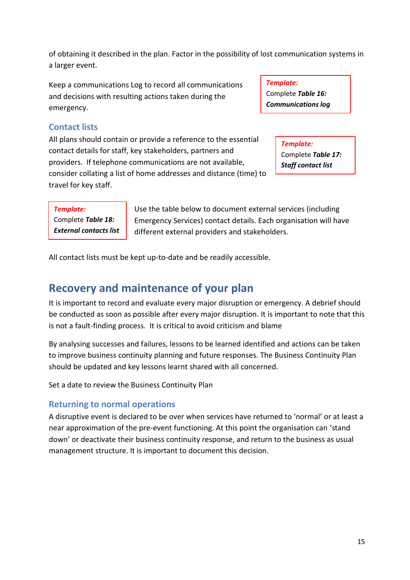of obtaining it described in the plan. Factor in the possibility of lost communication systems in a larger event.

Keep a communications Log to record all communications and decisions with resulting actions taken during the emergency.

*Template:* Complete *Table 16: Communications log*

*Template:*

Complete *Table 17: Staff contact list*

## <span id="page-16-0"></span>**Contact lists**

All plans should contain or provide a reference to the essential contact details for staff, key stakeholders, partners and providers. If telephone communications are not available, consider collating a list of home addresses and distance (time) to travel for key staff.

*Template:*

Complete *Table 18: External contacts list*

Use the table below to document external services (including Emergency Services) contact details. Each organisation will have different external providers and stakeholders.

<span id="page-16-1"></span>All contact lists must be kept up-to-date and be readily accessible.

## **Recovery and maintenance of your plan**

It is important to record and evaluate every major disruption or emergency. A debrief should be conducted as soon as possible after every major disruption. It is important to note that this is not a fault-finding process. It is critical to avoid criticism and blame

By analysing successes and failures, lessons to be learned identified and actions can be taken to improve business continuity planning and future responses. The Business Continuity Plan should be updated and key lessons learnt shared with all concerned.

Set a date to review the Business Continuity Plan

### <span id="page-16-2"></span>**Returning to normal operations**

A disruptive event is declared to be over when services have returned to 'normal' or at least a near approximation of the pre-event functioning. At this point the organisation can 'stand down' or deactivate their business continuity response, and return to the business as usual management structure. It is important to document this decision.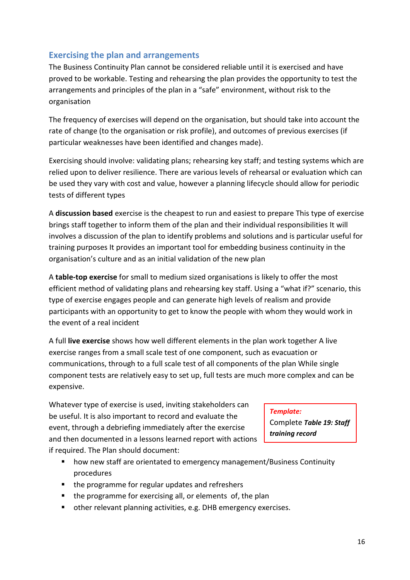## <span id="page-17-0"></span>**Exercising the plan and arrangements**

The Business Continuity Plan cannot be considered reliable until it is exercised and have proved to be workable. Testing and rehearsing the plan provides the opportunity to test the arrangements and principles of the plan in a "safe" environment, without risk to the organisation

The frequency of exercises will depend on the organisation, but should take into account the rate of change (to the organisation or risk profile), and outcomes of previous exercises (if particular weaknesses have been identified and changes made).

Exercising should involve: validating plans; rehearsing key staff; and testing systems which are relied upon to deliver resilience. There are various levels of rehearsal or evaluation which can be used they vary with cost and value, however a planning lifecycle should allow for periodic tests of different types

A **discussion based** exercise is the cheapest to run and easiest to prepare This type of exercise brings staff together to inform them of the plan and their individual responsibilities It will involves a discussion of the plan to identify problems and solutions and is particular useful for training purposes It provides an important tool for embedding business continuity in the organisation's culture and as an initial validation of the new plan

A **table-top exercise** for small to medium sized organisations is likely to offer the most efficient method of validating plans and rehearsing key staff. Using a "what if?" scenario, this type of exercise engages people and can generate high levels of realism and provide participants with an opportunity to get to know the people with whom they would work in the event of a real incident

A full **live exercise** shows how well different elements in the plan work together A live exercise ranges from a small scale test of one component, such as evacuation or communications, through to a full scale test of all components of the plan While single component tests are relatively easy to set up, full tests are much more complex and can be expensive.

Whatever type of exercise is used, inviting stakeholders can be useful. It is also important to record and evaluate the event, through a debriefing immediately after the exercise and then documented in a lessons learned report with actions if required. The Plan should document:

#### *Template:*

Complete *Table 19: Staff training record*

- how new staff are orientated to emergency management/Business Continuity procedures
- the programme for regular updates and refreshers
- $\blacksquare$  the programme for exercising all, or elements of, the plan
- other relevant planning activities, e.g. DHB emergency exercises.